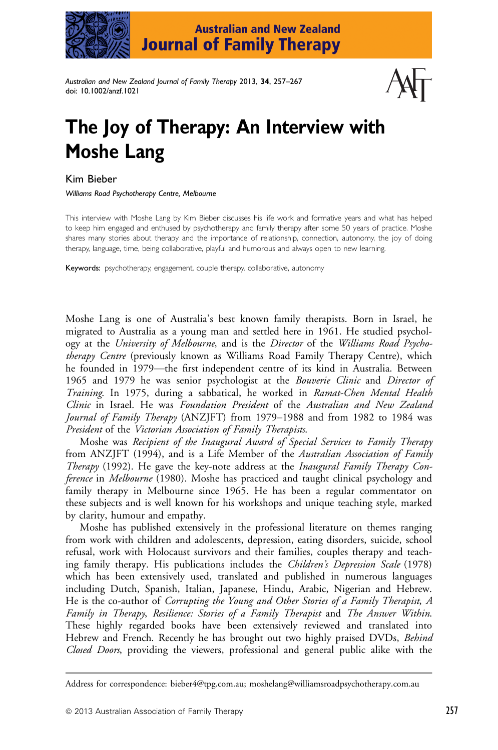

**Australian and New Zealand Journal of Family Therapy** 

Australian and New Zealand Journal of Family Therapy 2013, 34, 257–<sup>267</sup> doi: 10.1002/anzf.1021

# The Joy of Therapy: An Interview with<br>Moshe Lang ang dialawigan dialawigan dialawigan dialawigan dialawigan dialawigan dialawigan dialawigan dialawigan dialawi<br>Tanàna amin'ny faritan'ilay kaominina dialawigan dialawigan dialawigan dialawigan dialawigan dialawigan dialaw

# Kim Bieber

Williams Road Psychotherapy Centre, Melbourne

This interview with Moshe Lang by Kim Bieber discusses his life work and formative years and what has helped to keep him engaged and enthused by psychotherapy and family therapy after some 50 years of practice. Moshe shares many stories about therapy and the importance of relationship, connection, autonomy, the joy of doing therapy, language, time, being collaborative, playful and humorous and always open to new learning.

Keywords: psychotherapy, engagement, couple therapy, collaborative, autonomy

Moshe Lang is one of Australia's best known family therapists. Born in Israel, he migrated to Australia as a young man and settled here in 1961. He studied psychology at the University of Melbourne, and is the Director of the Williams Road Psychotherapy Centre (previously known as Williams Road Family Therapy Centre), which he founded in 1979—the first independent centre of its kind in Australia. Between 1965 and 1979 he was senior psychologist at the *Bouverie Clinic* and *Director of* Training. In 1975, during a sabbatical, he worked in Ramat-Chen Mental Health Clinic in Israel. He was Foundation President of the Australian and New Zealand Journal of Family Therapy (ANZJFT) from 1979–1988 and from 1982 to 1984 was President of the Victorian Association of Family Therapists.

Moshe was Recipient of the Inaugural Award of Special Services to Family Therapy from ANZJFT (1994), and is a Life Member of the *Australian Association of Family* Therapy (1992). He gave the key-note address at the *Inaugural Family Therapy Con*ference in Melbourne (1980). Moshe has practiced and taught clinical psychology and family therapy in Melbourne since 1965. He has been a regular commentator on these subjects and is well known for his workshops and unique teaching style, marked by clarity, humour and empathy.

Moshe has published extensively in the professional literature on themes ranging from work with children and adolescents, depression, eating disorders, suicide, school refusal, work with Holocaust survivors and their families, couples therapy and teaching family therapy. His publications includes the Children's Depression Scale (1978) which has been extensively used, translated and published in numerous languages including Dutch, Spanish, Italian, Japanese, Hindu, Arabic, Nigerian and Hebrew. He is the co-author of Corrupting the Young and Other Stories of a Family Therapist, A Family in Therapy, Resilience: Stories of a Family Therapist and The Answer Within. These highly regarded books have been extensively reviewed and translated into Hebrew and French. Recently he has brought out two highly praised DVDs, Behind Closed Doors, providing the viewers, professional and general public alike with the

Address for correspondence: bieber4@tpg.com.au; moshelang@williamsroadpsychotherapy.com.au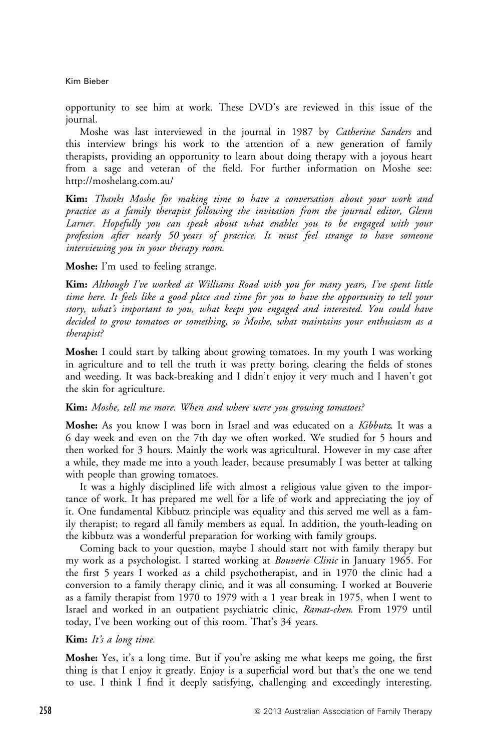opportunity to see him at work. These DVD's are reviewed in this issue of the journal.

Moshe was last interviewed in the journal in 1987 by Catherine Sanders and this interview brings his work to the attention of a new generation of family therapists, providing an opportunity to learn about doing therapy with a joyous heart from a sage and veteran of the field. For further information on Moshe see: http://moshelang.com.au/

Kim: Thanks Moshe for making time to have a conversation about your work and practice as a family therapist following the invitation from the journal editor, Glenn Larner. Hopefully you can speak about what enables you to be engaged with your profession after nearly 50 years of practice. It must feel strange to have someone interviewing you in your therapy room.

Moshe: I'm used to feeling strange.

Kim: Although I've worked at Williams Road with you for many years, I've spent little time here. It feels like a good place and time for you to have the opportunity to tell your story, what's important to you, what keeps you engaged and interested. You could have decided to grow tomatoes or something, so Moshe, what maintains your enthusiasm as a therapist?

Moshe: I could start by talking about growing tomatoes. In my youth I was working in agriculture and to tell the truth it was pretty boring, clearing the fields of stones and weeding. It was back-breaking and I didn't enjoy it very much and I haven't got the skin for agriculture.

# Kim: Moshe, tell me more. When and where were you growing tomatoes?

Moshe: As you know I was born in Israel and was educated on a Kibbutz. It was a 6 day week and even on the 7th day we often worked. We studied for 5 hours and then worked for 3 hours. Mainly the work was agricultural. However in my case after a while, they made me into a youth leader, because presumably I was better at talking with people than growing tomatoes.

It was a highly disciplined life with almost a religious value given to the importance of work. It has prepared me well for a life of work and appreciating the joy of it. One fundamental Kibbutz principle was equality and this served me well as a family therapist; to regard all family members as equal. In addition, the youth-leading on the kibbutz was a wonderful preparation for working with family groups.

Coming back to your question, maybe I should start not with family therapy but my work as a psychologist. I started working at Bouverie Clinic in January 1965. For the first 5 years I worked as a child psychotherapist, and in 1970 the clinic had a conversion to a family therapy clinic, and it was all consuming. I worked at Bouverie as a family therapist from 1970 to 1979 with a 1 year break in 1975, when I went to Israel and worked in an outpatient psychiatric clinic, Ramat-chen. From 1979 until today, I've been working out of this room. That's 34 years.

#### Kim: It's a long time.

Moshe: Yes, it's a long time. But if you're asking me what keeps me going, the first thing is that I enjoy it greatly. Enjoy is a superficial word but that's the one we tend to use. I think I find it deeply satisfying, challenging and exceedingly interesting.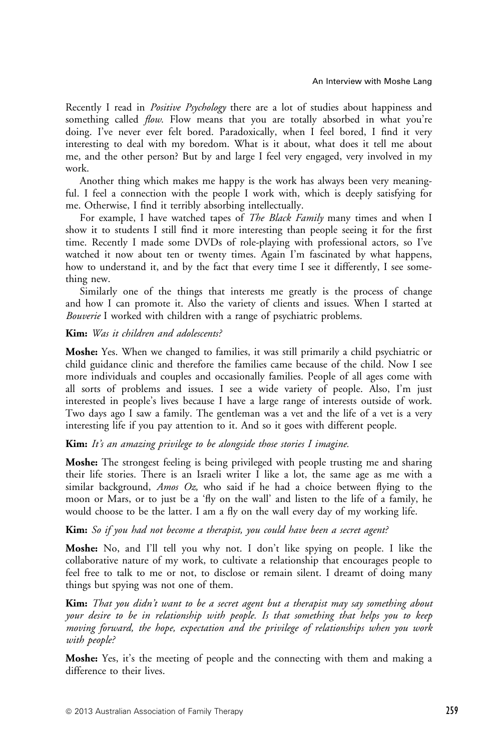Recently I read in *Positive Psychology* there are a lot of studies about happiness and something called *flow*. Flow means that you are totally absorbed in what you're doing. I've never ever felt bored. Paradoxically, when I feel bored, I find it very interesting to deal with my boredom. What is it about, what does it tell me about me, and the other person? But by and large I feel very engaged, very involved in my work.

Another thing which makes me happy is the work has always been very meaningful. I feel a connection with the people I work with, which is deeply satisfying for me. Otherwise, I find it terribly absorbing intellectually.

For example, I have watched tapes of *The Black Family* many times and when I show it to students I still find it more interesting than people seeing it for the first time. Recently I made some DVDs of role-playing with professional actors, so I've watched it now about ten or twenty times. Again I'm fascinated by what happens, how to understand it, and by the fact that every time I see it differently, I see something new.

Similarly one of the things that interests me greatly is the process of change and how I can promote it. Also the variety of clients and issues. When I started at Bouverie I worked with children with a range of psychiatric problems.

# Kim: Was it children and adolescents?

Moshe: Yes. When we changed to families, it was still primarily a child psychiatric or child guidance clinic and therefore the families came because of the child. Now I see more individuals and couples and occasionally families. People of all ages come with all sorts of problems and issues. I see a wide variety of people. Also, I'm just interested in people's lives because I have a large range of interests outside of work. Two days ago I saw a family. The gentleman was a vet and the life of a vet is a very interesting life if you pay attention to it. And so it goes with different people.

Kim: It's an amazing privilege to be alongside those stories I imagine.

Moshe: The strongest feeling is being privileged with people trusting me and sharing their life stories. There is an Israeli writer I like a lot, the same age as me with a similar background, Amos  $Oz$ , who said if he had a choice between flying to the moon or Mars, or to just be a 'fly on the wall' and listen to the life of a family, he would choose to be the latter. I am a fly on the wall every day of my working life.

Kim: So if you had not become a therapist, you could have been a secret agent?

Moshe: No, and I'll tell you why not. I don't like spying on people. I like the collaborative nature of my work, to cultivate a relationship that encourages people to feel free to talk to me or not, to disclose or remain silent. I dreamt of doing many things but spying was not one of them.

Kim: That you didn't want to be a secret agent but a therapist may say something about your desire to be in relationship with people. Is that something that helps you to keep moving forward, the hope, expectation and the privilege of relationships when you work with people?

Moshe: Yes, it's the meeting of people and the connecting with them and making a difference to their lives.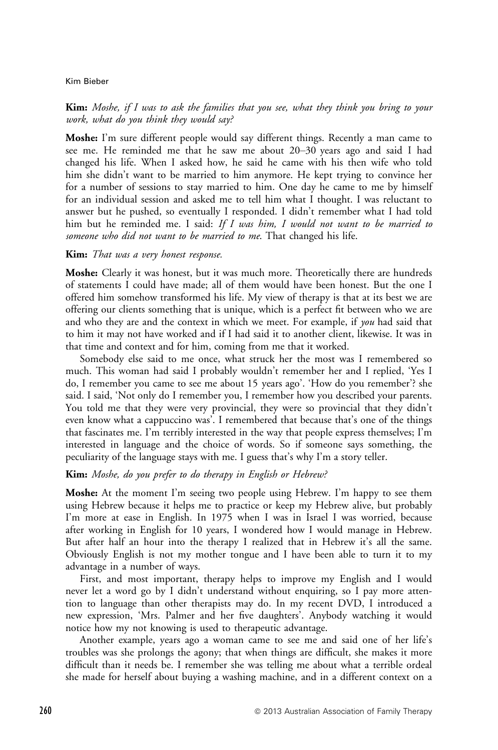# Kim: Moshe, if I was to ask the families that you see, what they think you bring to your work, what do you think they would say?

Moshe: I'm sure different people would say different things. Recently a man came to see me. He reminded me that he saw me about 20–30 years ago and said I had changed his life. When I asked how, he said he came with his then wife who told him she didn't want to be married to him anymore. He kept trying to convince her for a number of sessions to stay married to him. One day he came to me by himself for an individual session and asked me to tell him what I thought. I was reluctant to answer but he pushed, so eventually I responded. I didn't remember what I had told him but he reminded me. I said: If I was him, I would not want to be married to someone who did not want to be married to me. That changed his life.

## Kim: That was a very honest response.

Moshe: Clearly it was honest, but it was much more. Theoretically there are hundreds of statements I could have made; all of them would have been honest. But the one I offered him somehow transformed his life. My view of therapy is that at its best we are offering our clients something that is unique, which is a perfect fit between who we are and who they are and the context in which we meet. For example, if you had said that to him it may not have worked and if I had said it to another client, likewise. It was in that time and context and for him, coming from me that it worked.

Somebody else said to me once, what struck her the most was I remembered so much. This woman had said I probably wouldn't remember her and I replied, 'Yes I do, I remember you came to see me about 15 years ago'. 'How do you remember'? she said. I said, 'Not only do I remember you, I remember how you described your parents. You told me that they were very provincial, they were so provincial that they didn't even know what a cappuccino was'. I remembered that because that's one of the things that fascinates me. I'm terribly interested in the way that people express themselves; I'm interested in language and the choice of words. So if someone says something, the peculiarity of the language stays with me. I guess that's why I'm a story teller.

# Kim: Moshe, do you prefer to do therapy in English or Hebrew?

Moshe: At the moment I'm seeing two people using Hebrew. I'm happy to see them using Hebrew because it helps me to practice or keep my Hebrew alive, but probably I'm more at ease in English. In 1975 when I was in Israel I was worried, because after working in English for 10 years, I wondered how I would manage in Hebrew. But after half an hour into the therapy I realized that in Hebrew it's all the same. Obviously English is not my mother tongue and I have been able to turn it to my advantage in a number of ways.

First, and most important, therapy helps to improve my English and I would never let a word go by I didn't understand without enquiring, so I pay more attention to language than other therapists may do. In my recent DVD, I introduced a new expression, 'Mrs. Palmer and her five daughters'. Anybody watching it would notice how my not knowing is used to therapeutic advantage.

Another example, years ago a woman came to see me and said one of her life's troubles was she prolongs the agony; that when things are difficult, she makes it more difficult than it needs be. I remember she was telling me about what a terrible ordeal she made for herself about buying a washing machine, and in a different context on a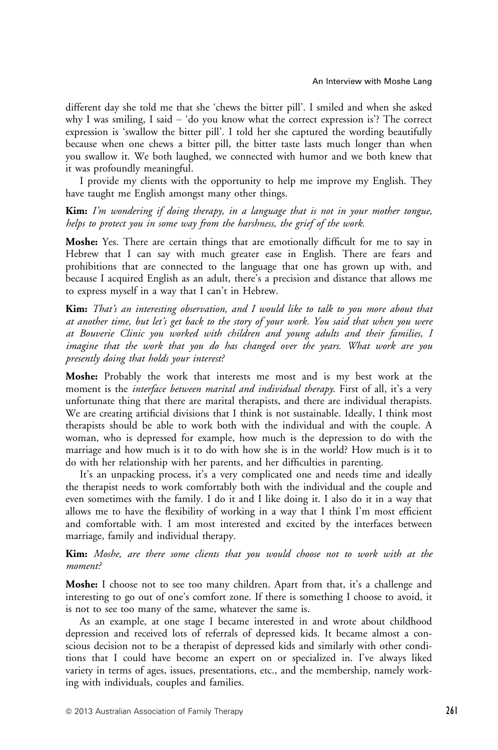different day she told me that she 'chews the bitter pill'. I smiled and when she asked why I was smiling, I said – 'do you know what the correct expression is'? The correct expression is 'swallow the bitter pill'. I told her she captured the wording beautifully because when one chews a bitter pill, the bitter taste lasts much longer than when you swallow it. We both laughed, we connected with humor and we both knew that it was profoundly meaningful.

I provide my clients with the opportunity to help me improve my English. They have taught me English amongst many other things.

Kim: I'm wondering if doing therapy, in a language that is not in your mother tongue, helps to protect you in some way from the harshness, the grief of the work.

Moshe: Yes. There are certain things that are emotionally difficult for me to say in Hebrew that I can say with much greater ease in English. There are fears and prohibitions that are connected to the language that one has grown up with, and because I acquired English as an adult, there's a precision and distance that allows me to express myself in a way that I can't in Hebrew.

Kim: That's an interesting observation, and I would like to talk to you more about that at another time, but let's get back to the story of your work. You said that when you were at Bouverie Clinic you worked with children and young adults and their families, I imagine that the work that you do has changed over the years. What work are you presently doing that holds your interest?

Moshe: Probably the work that interests me most and is my best work at the moment is the *interface between marital and individual therapy*. First of all, it's a very unfortunate thing that there are marital therapists, and there are individual therapists. We are creating artificial divisions that I think is not sustainable. Ideally, I think most therapists should be able to work both with the individual and with the couple. A woman, who is depressed for example, how much is the depression to do with the marriage and how much is it to do with how she is in the world? How much is it to do with her relationship with her parents, and her difficulties in parenting.

It's an unpacking process, it's a very complicated one and needs time and ideally the therapist needs to work comfortably both with the individual and the couple and even sometimes with the family. I do it and I like doing it. I also do it in a way that allows me to have the flexibility of working in a way that I think I'm most efficient and comfortable with. I am most interested and excited by the interfaces between marriage, family and individual therapy.

Kim: Moshe, are there some clients that you would choose not to work with at the moment?

Moshe: I choose not to see too many children. Apart from that, it's a challenge and interesting to go out of one's comfort zone. If there is something I choose to avoid, it is not to see too many of the same, whatever the same is.

As an example, at one stage I became interested in and wrote about childhood depression and received lots of referrals of depressed kids. It became almost a conscious decision not to be a therapist of depressed kids and similarly with other conditions that I could have become an expert on or specialized in. I've always liked variety in terms of ages, issues, presentations, etc., and the membership, namely working with individuals, couples and families.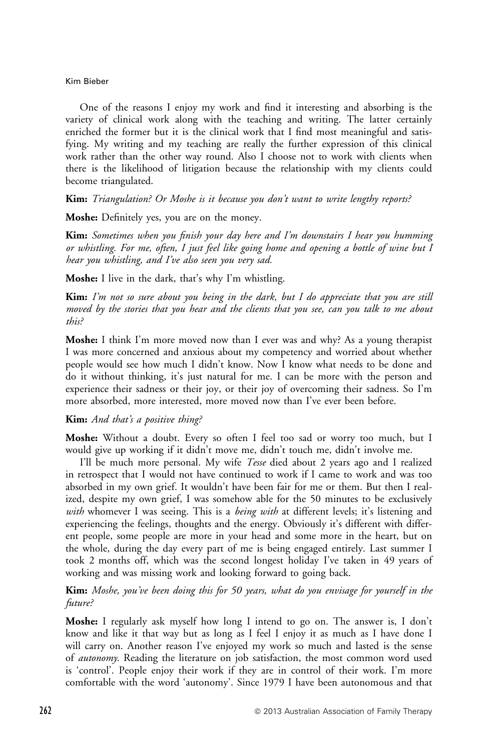#### Kim Bieber

One of the reasons I enjoy my work and find it interesting and absorbing is the variety of clinical work along with the teaching and writing. The latter certainly enriched the former but it is the clinical work that I find most meaningful and satisfying. My writing and my teaching are really the further expression of this clinical work rather than the other way round. Also I choose not to work with clients when there is the likelihood of litigation because the relationship with my clients could become triangulated.

Kim: Triangulation? Or Moshe is it because you don't want to write lengthy reports?

Moshe: Definitely yes, you are on the money.

Kim: Sometimes when you finish your day here and I'm downstairs I hear you humming or whistling. For me, often, I just feel like going home and opening a bottle of wine but I hear you whistling, and I've also seen you very sad.

Moshe: I live in the dark, that's why I'm whistling.

**Kim:** I'm not so sure about you being in the dark, but I do appreciate that you are still moved by the stories that you hear and the clients that you see, can you talk to me about this?

**Moshe:** I think I'm more moved now than I ever was and why? As a young therapist I was more concerned and anxious about my competency and worried about whether people would see how much I didn't know. Now I know what needs to be done and do it without thinking, it's just natural for me. I can be more with the person and experience their sadness or their joy, or their joy of overcoming their sadness. So I'm more absorbed, more interested, more moved now than I've ever been before.

# Kim: And that's a positive thing?

Moshe: Without a doubt. Every so often I feel too sad or worry too much, but I would give up working if it didn't move me, didn't touch me, didn't involve me.

I'll be much more personal. My wife *Tesse* died about 2 years ago and I realized in retrospect that I would not have continued to work if I came to work and was too absorbed in my own grief. It wouldn't have been fair for me or them. But then I realized, despite my own grief, I was somehow able for the 50 minutes to be exclusively with whomever I was seeing. This is a *being with* at different levels; it's listening and experiencing the feelings, thoughts and the energy. Obviously it's different with different people, some people are more in your head and some more in the heart, but on the whole, during the day every part of me is being engaged entirely. Last summer I took 2 months off, which was the second longest holiday I've taken in 49 years of working and was missing work and looking forward to going back.

Kim: Moshe, you've been doing this for 50 years, what do you envisage for yourself in the future?

Moshe: I regularly ask myself how long I intend to go on. The answer is, I don't know and like it that way but as long as I feel I enjoy it as much as I have done I will carry on. Another reason I've enjoyed my work so much and lasted is the sense of autonomy. Reading the literature on job satisfaction, the most common word used is 'control'. People enjoy their work if they are in control of their work. I'm more comfortable with the word 'autonomy'. Since 1979 I have been autonomous and that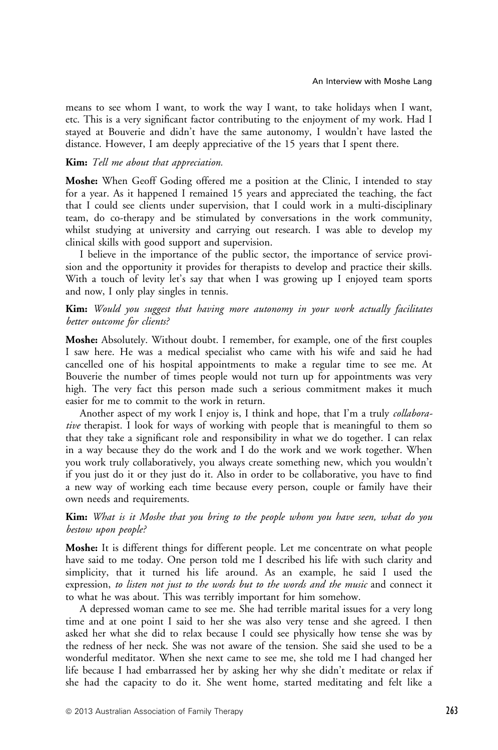means to see whom I want, to work the way I want, to take holidays when I want, etc. This is a very significant factor contributing to the enjoyment of my work. Had I stayed at Bouverie and didn't have the same autonomy, I wouldn't have lasted the distance. However, I am deeply appreciative of the 15 years that I spent there.

#### Kim: Tell me about that appreciation.

Moshe: When Geoff Goding offered me a position at the Clinic, I intended to stay for a year. As it happened I remained 15 years and appreciated the teaching, the fact that I could see clients under supervision, that I could work in a multi-disciplinary team, do co-therapy and be stimulated by conversations in the work community, whilst studying at university and carrying out research. I was able to develop my clinical skills with good support and supervision.

I believe in the importance of the public sector, the importance of service provision and the opportunity it provides for therapists to develop and practice their skills. With a touch of levity let's say that when I was growing up I enjoyed team sports and now, I only play singles in tennis.

# Kim: Would you suggest that having more autonomy in your work actually facilitates better outcome for clients?

Moshe: Absolutely. Without doubt. I remember, for example, one of the first couples I saw here. He was a medical specialist who came with his wife and said he had cancelled one of his hospital appointments to make a regular time to see me. At Bouverie the number of times people would not turn up for appointments was very high. The very fact this person made such a serious commitment makes it much easier for me to commit to the work in return.

Another aspect of my work I enjoy is, I think and hope, that I'm a truly collaborative therapist. I look for ways of working with people that is meaningful to them so that they take a significant role and responsibility in what we do together. I can relax in a way because they do the work and I do the work and we work together. When you work truly collaboratively, you always create something new, which you wouldn't if you just do it or they just do it. Also in order to be collaborative, you have to find a new way of working each time because every person, couple or family have their own needs and requirements.

# Kim: What is it Moshe that you bring to the people whom you have seen, what do you bestow upon people?

Moshe: It is different things for different people. Let me concentrate on what people have said to me today. One person told me I described his life with such clarity and simplicity, that it turned his life around. As an example, he said I used the expression, to listen not just to the words but to the words and the music and connect it to what he was about. This was terribly important for him somehow.

A depressed woman came to see me. She had terrible marital issues for a very long time and at one point I said to her she was also very tense and she agreed. I then asked her what she did to relax because I could see physically how tense she was by the redness of her neck. She was not aware of the tension. She said she used to be a wonderful meditator. When she next came to see me, she told me I had changed her life because I had embarrassed her by asking her why she didn't meditate or relax if she had the capacity to do it. She went home, started meditating and felt like a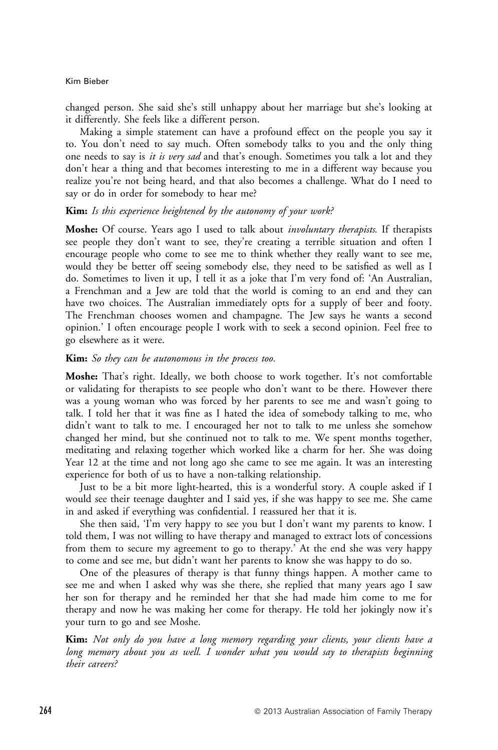changed person. She said she's still unhappy about her marriage but she's looking at it differently. She feels like a different person.

Making a simple statement can have a profound effect on the people you say it to. You don't need to say much. Often somebody talks to you and the only thing one needs to say is it is very sad and that's enough. Sometimes you talk a lot and they don't hear a thing and that becomes interesting to me in a different way because you realize you're not being heard, and that also becomes a challenge. What do I need to say or do in order for somebody to hear me?

#### Kim: Is this experience heightened by the autonomy of your work?

Moshe: Of course. Years ago I used to talk about *involuntary therapists*. If therapists see people they don't want to see, they're creating a terrible situation and often I encourage people who come to see me to think whether they really want to see me, would they be better off seeing somebody else, they need to be satisfied as well as I do. Sometimes to liven it up, I tell it as a joke that I'm very fond of: 'An Australian, a Frenchman and a Jew are told that the world is coming to an end and they can have two choices. The Australian immediately opts for a supply of beer and footy. The Frenchman chooses women and champagne. The Jew says he wants a second opinion.' I often encourage people I work with to seek a second opinion. Feel free to go elsewhere as it were.

## Kim: So they can be autonomous in the process too.

Moshe: That's right. Ideally, we both choose to work together. It's not comfortable or validating for therapists to see people who don't want to be there. However there was a young woman who was forced by her parents to see me and wasn't going to talk. I told her that it was fine as I hated the idea of somebody talking to me, who didn't want to talk to me. I encouraged her not to talk to me unless she somehow changed her mind, but she continued not to talk to me. We spent months together, meditating and relaxing together which worked like a charm for her. She was doing Year 12 at the time and not long ago she came to see me again. It was an interesting experience for both of us to have a non-talking relationship.

Just to be a bit more light-hearted, this is a wonderful story. A couple asked if I would see their teenage daughter and I said yes, if she was happy to see me. She came in and asked if everything was confidential. I reassured her that it is.

She then said, 'I'm very happy to see you but I don't want my parents to know. I told them, I was not willing to have therapy and managed to extract lots of concessions from them to secure my agreement to go to therapy.' At the end she was very happy to come and see me, but didn't want her parents to know she was happy to do so.

One of the pleasures of therapy is that funny things happen. A mother came to see me and when I asked why was she there, she replied that many years ago I saw her son for therapy and he reminded her that she had made him come to me for therapy and now he was making her come for therapy. He told her jokingly now it's your turn to go and see Moshe.

Kim: Not only do you have a long memory regarding your clients, your clients have a long memory about you as well. I wonder what you would say to therapists beginning their careers?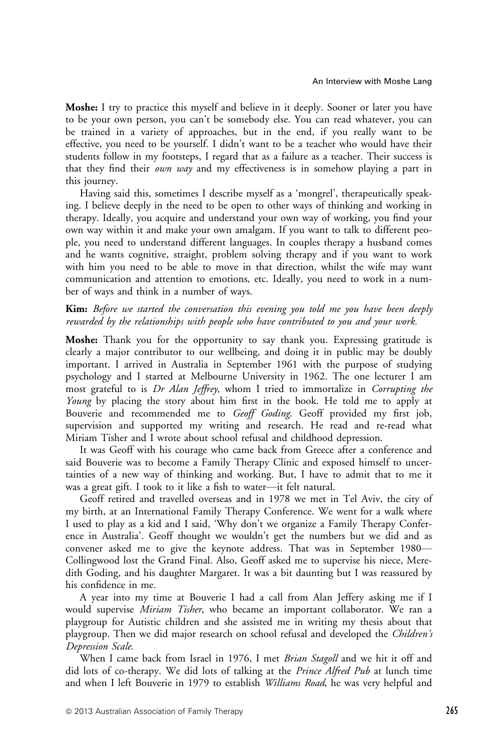**Moshe:** I try to practice this myself and believe in it deeply. Sooner or later you have to be your own person, you can't be somebody else. You can read whatever, you can be trained in a variety of approaches, but in the end, if you really want to be effective, you need to be yourself. I didn't want to be a teacher who would have their students follow in my footsteps, I regard that as a failure as a teacher. Their success is that they find their own way and my effectiveness is in somehow playing a part in this journey.

Having said this, sometimes I describe myself as a 'mongrel', therapeutically speaking. I believe deeply in the need to be open to other ways of thinking and working in therapy. Ideally, you acquire and understand your own way of working, you find your own way within it and make your own amalgam. If you want to talk to different people, you need to understand different languages. In couples therapy a husband comes and he wants cognitive, straight, problem solving therapy and if you want to work with him you need to be able to move in that direction, whilst the wife may want communication and attention to emotions, etc. Ideally, you need to work in a number of ways and think in a number of ways.

# Kim: Before we started the conversation this evening you told me you have been deeply rewarded by the relationships with people who have contributed to you and your work.

Moshe: Thank you for the opportunity to say thank you. Expressing gratitude is clearly a major contributor to our wellbeing, and doing it in public may be doubly important. I arrived in Australia in September 1961 with the purpose of studying psychology and I started at Melbourne University in 1962. The one lecturer I am most grateful to is Dr Alan Jeffrey, whom I tried to immortalize in Corrupting the Young by placing the story about him first in the book. He told me to apply at Bouverie and recommended me to Geoff Goding. Geoff provided my first job, supervision and supported my writing and research. He read and re-read what Miriam Tisher and I wrote about school refusal and childhood depression.

It was Geoff with his courage who came back from Greece after a conference and said Bouverie was to become a Family Therapy Clinic and exposed himself to uncertainties of a new way of thinking and working. But, I have to admit that to me it was a great gift. I took to it like a fish to water—it felt natural.

Geoff retired and travelled overseas and in 1978 we met in Tel Aviv, the city of my birth, at an International Family Therapy Conference. We went for a walk where I used to play as a kid and I said, 'Why don't we organize a Family Therapy Conference in Australia'. Geoff thought we wouldn't get the numbers but we did and as convener asked me to give the keynote address. That was in September 1980— Collingwood lost the Grand Final. Also, Geoff asked me to supervise his niece, Meredith Goding, and his daughter Margaret. It was a bit daunting but I was reassured by his confidence in me.

A year into my time at Bouverie I had a call from Alan Jeffery asking me if I would supervise *Miriam Tisher*, who became an important collaborator. We ran a playgroup for Autistic children and she assisted me in writing my thesis about that playgroup. Then we did major research on school refusal and developed the Children's Depression Scale.

When I came back from Israel in 1976, I met Brian Stagoll and we hit it off and did lots of co-therapy. We did lots of talking at the Prince Alfred Pub at lunch time and when I left Bouverie in 1979 to establish *Williams Road*, he was very helpful and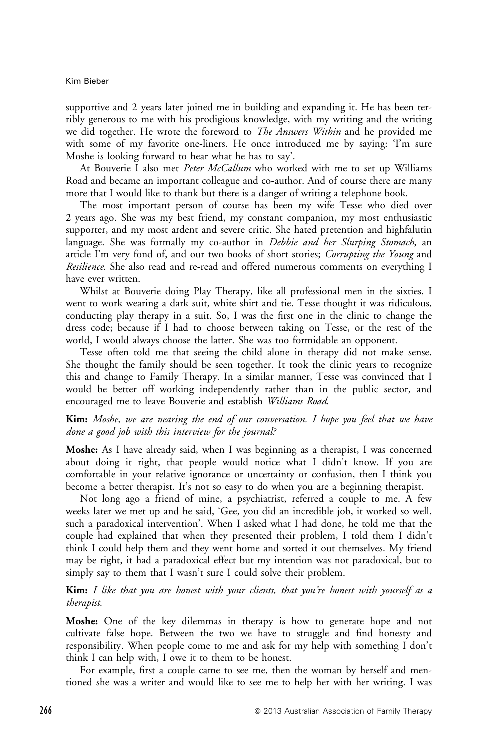supportive and 2 years later joined me in building and expanding it. He has been terribly generous to me with his prodigious knowledge, with my writing and the writing we did together. He wrote the foreword to *The Answers Within* and he provided me with some of my favorite one-liners. He once introduced me by saying: 'I'm sure Moshe is looking forward to hear what he has to say'.

At Bouverie I also met Peter McCallum who worked with me to set up Williams Road and became an important colleague and co-author. And of course there are many more that I would like to thank but there is a danger of writing a telephone book.

The most important person of course has been my wife Tesse who died over 2 years ago. She was my best friend, my constant companion, my most enthusiastic supporter, and my most ardent and severe critic. She hated pretention and highfalutin language. She was formally my co-author in Debbie and her Slurping Stomach, an article I'm very fond of, and our two books of short stories; *Corrupting the Young* and Resilience. She also read and re-read and offered numerous comments on everything I have ever written.

Whilst at Bouverie doing Play Therapy, like all professional men in the sixties, I went to work wearing a dark suit, white shirt and tie. Tesse thought it was ridiculous, conducting play therapy in a suit. So, I was the first one in the clinic to change the dress code; because if I had to choose between taking on Tesse, or the rest of the world, I would always choose the latter. She was too formidable an opponent.

Tesse often told me that seeing the child alone in therapy did not make sense. She thought the family should be seen together. It took the clinic years to recognize this and change to Family Therapy. In a similar manner, Tesse was convinced that I would be better off working independently rather than in the public sector, and encouraged me to leave Bouverie and establish Williams Road.

# Kim: Moshe, we are nearing the end of our conversation. I hope you feel that we have done a good job with this interview for the journal?

Moshe: As I have already said, when I was beginning as a therapist, I was concerned about doing it right, that people would notice what I didn't know. If you are comfortable in your relative ignorance or uncertainty or confusion, then I think you become a better therapist. It's not so easy to do when you are a beginning therapist.

Not long ago a friend of mine, a psychiatrist, referred a couple to me. A few weeks later we met up and he said, 'Gee, you did an incredible job, it worked so well, such a paradoxical intervention'. When I asked what I had done, he told me that the couple had explained that when they presented their problem, I told them I didn't think I could help them and they went home and sorted it out themselves. My friend may be right, it had a paradoxical effect but my intention was not paradoxical, but to simply say to them that I wasn't sure I could solve their problem.

# Kim: I like that you are honest with your clients, that you're honest with yourself as a therapist.

Moshe: One of the key dilemmas in therapy is how to generate hope and not cultivate false hope. Between the two we have to struggle and find honesty and responsibility. When people come to me and ask for my help with something I don't think I can help with, I owe it to them to be honest.

For example, first a couple came to see me, then the woman by herself and mentioned she was a writer and would like to see me to help her with her writing. I was